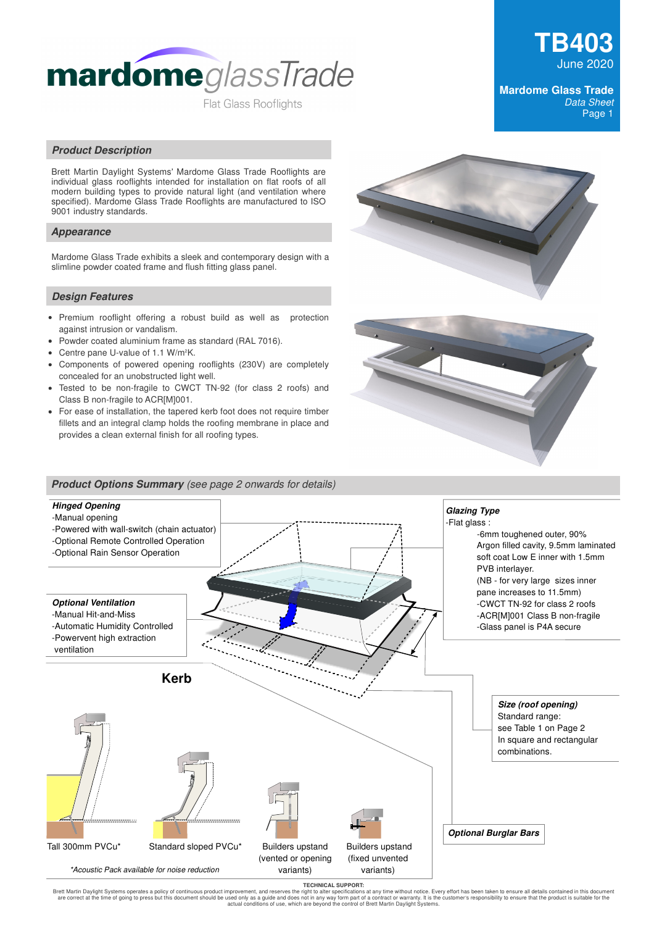

# **TB403** June 2020

## **Mardome Glass Trade**  Data Sheet Page 1

# **Product Description**

Brett Martin Daylight Systems' Mardome Glass Trade Rooflights are individual glass rooflights intended for installation on flat roofs of all modern building types to provide natural light (and ventilation where specified). Mardome Glass Trade Rooflights are manufactured to ISO 9001 industry standards.

## **Appearance**

Mardome Glass Trade exhibits a sleek and contemporary design with a slimline powder coated frame and flush fitting glass panel.

## **Design Features**

- Premium rooflight offering a robust build as well as protection against intrusion or vandalism.
- Powder coated aluminium frame as standard (RAL 7016).  $\bullet$
- $\bullet$ Centre pane U-value of 1.1 W/m2K.
- $\bullet$ Components of powered opening rooflights (230V) are completely concealed for an unobstructed light well.
- Tested to be non-fragile to CWCT TN-92 (for class 2 roofs) and Class B non-fragile to ACR[M]001.
- For ease of installation, the tapered kerb foot does not require timber fillets and an integral clamp holds the roofing membrane in place and provides a clean external finish for all roofing types.







TECHNICAL SUPPORT:<br>Brett Martin Daylight Systems operates a policy of continuous product improvement, and reserves the might o alter specifications at any time without notice. Every effort has been taken to ensure all deta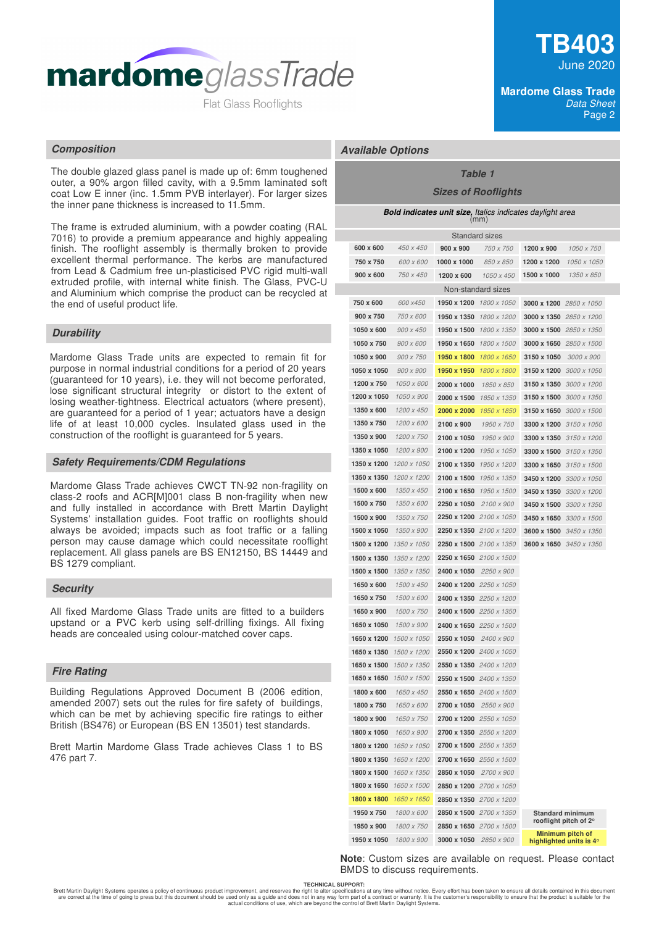

The double glazed glass panel is made up of: 6mm toughened outer, a 90% argon filled cavity, with a 9.5mm laminated soft coat Low E inner (inc. 1.5mm PVB interlayer). For larger sizes the inner pane thickness is increased to 11.5mm.

The frame is extruded aluminium, with a powder coating (RAL 7016) to provide a premium appearance and highly appealing finish. The rooflight assembly is thermally broken to provide excellent thermal performance. The kerbs are manufactured from Lead & Cadmium free un-plasticised PVC rigid multi-wall extruded profile, with internal white finish. The Glass, PVC-U and Aluminium which comprise the product can be recycled at the end of useful product life.

# **Durability**

Mardome Glass Trade units are expected to remain fit for purpose in normal industrial conditions for a period of 20 years (guaranteed for 10 years), i.e. they will not become perforated, lose significant structural integrity or distort to the extent of losing weather-tightness. Electrical actuators (where present), are guaranteed for a period of 1 year; actuators have a design life of at least 10,000 cycles. Insulated glass used in the construction of the rooflight is guaranteed for 5 years.

#### **Safety Requirements/CDM Regulations**

Mardome Glass Trade achieves CWCT TN-92 non-fragility on class-2 roofs and ACR[M]001 class B non-fragility when new and fully installed in accordance with Brett Martin Daylight Systems' installation guides. Foot traffic on rooflights should always be avoided; impacts such as foot traffic or a falling person may cause damage which could necessitate rooflight replacement. All glass panels are BS EN12150, BS 14449 and BS 1279 compliant.

#### **Security**

All fixed Mardome Glass Trade units are fitted to a builders upstand or a PVC kerb using self-drilling fixings. All fixing heads are concealed using colour-matched cover caps.

#### **Fire Rating**

Building Regulations Approved Document B (2006 edition, amended 2007) sets out the rules for fire safety of buildings, which can be met by achieving specific fire ratings to either British (BS476) or European (BS EN 13501) test standards.

Brett Martin Mardome Glass Trade achieves Class 1 to BS 476 part 7.

#### **Mardome Glass Trade**  Data Sheet Page 2

# **Composition Available Options**

# **Table 1**

# **Sizes of Rooflights**

| <b>Bold indicates unit size, Italics indicates daylight area</b><br>(mm) |             |                                |                                |                                |                  |                                                  |  |
|--------------------------------------------------------------------------|-------------|--------------------------------|--------------------------------|--------------------------------|------------------|--------------------------------------------------|--|
| <b>Standard sizes</b>                                                    |             |                                |                                |                                |                  |                                                  |  |
|                                                                          | 600 x 600   | 450 x 450                      | 900 x 900                      | 750 x 750                      | 1200 x 900       | 1050 x 750                                       |  |
|                                                                          | 750 x 750   | 600 x 600                      | 1000 x 1000                    | 850 x 850                      | 1200 x 1200      | 1050 x 1050                                      |  |
|                                                                          | 900 x 600   | 750 x 450                      | 1200 x 600                     | 1050 x 450                     | 1500 x 1000      | 1350 x 850                                       |  |
|                                                                          |             |                                |                                | Non-standard sizes             |                  |                                                  |  |
|                                                                          | 750 x 600   | 600 x450                       | 1950 x 1200 1800 x 1050        |                                |                  | 3000 x 1200 2850 x 1050                          |  |
|                                                                          | 900 x 750   | 750 x 600                      |                                | 1950 x 1350 1800 x 1200        |                  | 3000 x 1350 2850 x 1200                          |  |
|                                                                          | 1050 x 600  | $900 \times 450$               | 1950 x 1500                    | 1800 x 1350                    |                  | 3000 x 1500 2850 x 1350                          |  |
|                                                                          | 1050 x 750  | 900 x 600                      | 1950 x 1650                    | 1800 x 1500                    |                  | 3000 x 1650 $2850 \times 1500$                   |  |
|                                                                          | 1050 x 900  | 900 x 750                      | 1950 x 1800                    | 1800 x 1650                    | 3150 x 1050      | 3000 x 900                                       |  |
|                                                                          | 1050 x 1050 | $900 \times 900$               | 1950 x 1950                    | 1800 x 1800                    |                  | 3150 x 1200 3000 x 1050                          |  |
|                                                                          | 1200 x 750  | 1050 x 600                     | 2000 x 1000                    | 1850 x 850                     |                  | 3150 x 1350 3000 x 1200                          |  |
|                                                                          | 1200 x 1050 | 1050 x 900                     | 2000 x 1500                    | 1850 x 1350                    |                  | 3150 x 1500 3000 x 1350                          |  |
|                                                                          | 1350 x 600  | 1200 x 450                     | 2000 x 2000                    | 1850 x 1850                    |                  | 3150 x 1650 $3000 \times 1500$                   |  |
|                                                                          | 1350 x 750  | 1200 x 600                     | 2100 x 900                     | 1950 x 750                     |                  | 3300 x 1200 3150 x 1050                          |  |
|                                                                          | 1350 x 900  | 1200 x 750                     | 2100 x 1050                    | 1950 x 900                     |                  | 3300 x 1350 3150 x 1200                          |  |
|                                                                          | 1350 x 1050 | 1200 x 900                     | 2100 x 1200                    | 1950 x 1050                    |                  | 3300 x 1500 3150 x 1350                          |  |
|                                                                          | 1350 x 1200 | 1200 x 1050                    | 2100 x 1350                    | 1950 x 1200                    |                  | 3300 x 1650 3150 x 1500                          |  |
|                                                                          | 1350 x 1350 | 1200 x 1200                    | 2100 x 1500                    | 1950 x 1350                    | 3450 x 1200      | 3300 x 1050                                      |  |
|                                                                          | 1500 x 600  | 1350 x 450                     | 2100 x 1650                    | 1950 x 1500                    | 3450 x 1350      | 3300 x 1200                                      |  |
|                                                                          | 1500 x 750  | 1350 x 600                     | 2250 x 1050                    | 2100 x 900                     | 3450 x 1500      | 3300 x 1350                                      |  |
|                                                                          | 1500 x 900  | 1350 x 750                     |                                | 2250 x 1200 2100 x 1050        | 3450 x 1650      | 3300 x 1500                                      |  |
|                                                                          | 1500 x 1050 | 1350 x 900                     |                                | 2250 x 1350 2100 x 1200        | 3600 x 1500      | 3450 x 1350                                      |  |
|                                                                          | 1500 x 1200 | 1350 x 1050                    |                                | <b>2250 x 1500</b> 2100 x 1350 |                  | 3600 x 1650 3450 x 1350                          |  |
|                                                                          | 1500 x 1350 | 1350 x 1200                    |                                | 2250 x 1650 2100 x 1500        |                  |                                                  |  |
|                                                                          | 1500 x 1500 | 1350 x 1350                    | 2400 x 1050                    | 2250 x 900                     |                  |                                                  |  |
|                                                                          | 1650 x 600  | 1500 x 450                     | 2400 x 1200 2250 x 1050        |                                |                  |                                                  |  |
|                                                                          | 1650 x 750  | 1500 x 600                     | 2400 x 1350 2250 x 1200        |                                |                  |                                                  |  |
|                                                                          | 1650 x 900  | 1500 x 750                     | 2400 x 1500 2250 x 1350        |                                |                  |                                                  |  |
|                                                                          | 1650 x 1050 | 1500 x 900                     |                                | <b>2400 x 1650</b> 2250 x 1500 |                  |                                                  |  |
|                                                                          | 1650 x 1200 | 1500 x 1050                    | 2550 x 1050 2400 x 900         |                                |                  |                                                  |  |
|                                                                          | 1650 x 1350 | 1500 x 1200                    |                                | 2550 x 1200 2400 x 1050        |                  |                                                  |  |
|                                                                          | 1650 x 1500 | 1500 x 1350                    | 2550 x 1350 2400 x 1200        |                                |                  |                                                  |  |
|                                                                          |             | <b>1650 x 1650</b> 1500 x 1500 | <b>2550 x 1500</b> 2400 x 1350 |                                |                  |                                                  |  |
|                                                                          | 1800 x 600  | 1650 x 450                     | 2550 x 1650 2400 x 1500        |                                |                  |                                                  |  |
|                                                                          | 1800 x 750  | 1650 x 600                     | 2700 x 1050                    | 2550 x 900                     |                  |                                                  |  |
|                                                                          | 1800 x 900  | 1650 x 750                     |                                | 2700 x 1200 2550 x 1050        |                  |                                                  |  |
|                                                                          | 1800 x 1050 | 1650 x 900                     |                                | 2700 x 1350 2550 x 1200        |                  |                                                  |  |
|                                                                          | 1800 x 1200 | 1650 x 1050                    |                                | 2700 x 1500 2550 x 1350        |                  |                                                  |  |
|                                                                          | 1800 x 1350 | 1650 x 1200                    |                                | 2700 x 1650 2550 x 1500        |                  |                                                  |  |
|                                                                          | 1800 x 1500 | 1650 x 1350                    | 2850 x 1050                    | 2700 x 900                     |                  |                                                  |  |
|                                                                          | 1800 x 1650 | 1650 x 1500                    |                                | 2850 x 1200 2700 x 1050        |                  |                                                  |  |
|                                                                          | 1800 x 1800 | 1650 x 1650                    |                                | 2850 x 1350 2700 x 1200        |                  |                                                  |  |
|                                                                          | 1950 x 750  | 1800 x 600                     |                                | 2850 x 1500 2700 x 1350        |                  | <b>Standard minimum</b><br>rooflight pitch of 2° |  |
|                                                                          | 1950 x 900  | 1800 x 750                     |                                | 2850 x 1650 2700 x 1500        | Minimum pitch of |                                                  |  |
| 1950 x 1050                                                              |             | 1800 x 900                     | 3000 x 1050                    | 2850 x 900                     |                  | highlighted units is 4°                          |  |

**Note**: Custom sizes are available on request. Please contact BMDS to discuss requirements.

**TECHNICAL SUPPORT:**

Brett Martin Daylight Systems operates a policy of continuous product improvement, and reserves the right to alter specifications at any time without notice. Every effort has been taken to ensure all details contained in t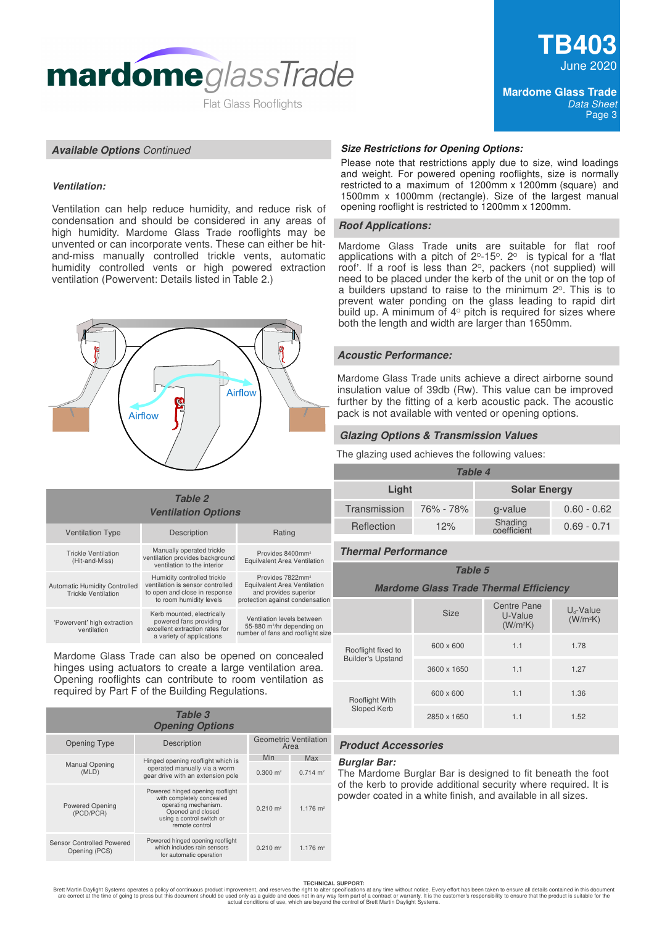

### **Available Options** Continued

# **Ventilation:**

Ventilation can help reduce humidity, and reduce risk of condensation and should be considered in any areas of high humidity. Mardome Glass Trade rooflights may be unvented or can incorporate vents. These can either be hitand-miss manually controlled trickle vents, automatic humidity controlled vents or high powered extraction ventilation (Powervent: Details listed in Table 2.)



# **Ventilation Options Table 2**

| <b>Ventilation Type</b>                                            | Description                                                                                                                 | Rating                                                                                                                   |  |  |
|--------------------------------------------------------------------|-----------------------------------------------------------------------------------------------------------------------------|--------------------------------------------------------------------------------------------------------------------------|--|--|
| <b>Trickle Ventilation</b><br>(Hit-and-Miss)                       | Manually operated trickle<br>ventilation provides background<br>ventilation to the interior                                 | Provides 8400mm <sup>2</sup><br>Equilvalent Area Ventilation                                                             |  |  |
| <b>Automatic Humidity Controlled</b><br><b>Trickle Ventilation</b> | Humidity controlled trickle<br>ventilation is sensor controlled<br>to open and close in response<br>to room humidity levels | Provides 7822mm <sup>2</sup><br>Equilvalent Area Ventilation<br>and provides superior<br>protection against condensation |  |  |
| 'Powervent' high extraction<br>ventilation                         | Kerb mounted, electrically<br>powered fans providing<br>excellent extraction rates for<br>a variety of applications         | Ventilation levels between<br>55-880 m <sup>3</sup> /hr depending on<br>number of fans and rooflight size                |  |  |

Mardome Glass Trade can also be opened on concealed hinges using actuators to create a large ventilation area. Opening rooflights can contribute to room ventilation as required by Part F of the Building Regulations.

| Table 3<br><b>Opening Options</b>                 |                                                                                                                                                           |                     |                        |  |
|---------------------------------------------------|-----------------------------------------------------------------------------------------------------------------------------------------------------------|---------------------|------------------------|--|
| Opening Type                                      | Description                                                                                                                                               |                     |                        |  |
| <b>Manual Opening</b>                             | Hinged opening rooflight which is                                                                                                                         | Min                 | Max                    |  |
| (MLD)                                             | operated manually via a worm<br>gear drive with an extension pole                                                                                         | $0.300 \text{ m}^2$ | $0.714$ m <sup>2</sup> |  |
| <b>Powered Opening</b><br>(PCD/PCR)               | Powered hinged opening rooflight<br>with completely concealed<br>operating mechanism.<br>Opened and closed<br>using a control switch or<br>remote control | $0.210 \text{ m}^2$ | $1.176$ m <sup>2</sup> |  |
| <b>Sensor Controlled Powered</b><br>Opening (PCS) | Powered hinged opening rooflight<br>which includes rain sensors<br>for automatic operation                                                                | $0.210 \text{ m}^2$ | $1.176$ m <sup>2</sup> |  |

#### **Size Restrictions for Opening Options:**

Please note that restrictions apply due to size, wind loadings and weight. For powered opening rooflights, size is normally restricted to a maximum of 1200mm x 1200mm (square) and 1500mm x 1000mm (rectangle). Size of the largest manual opening rooflight is restricted to 1200mm x 1200mm.

#### **Roof Applications:**

Mardome Glass Trade units are suitable for flat roof applications with a pitch of  $2^{\circ}$ -15 $^{\circ}$ .  $2^{\circ}$  is typical for a 'flat roof'. If a roof is less than  $2^{\circ}$ , packers (not supplied) will need to be placed under the kerb of the unit or on the top of a builders upstand to raise to the minimum  $2^{\circ}$ . This is to prevent water ponding on the glass leading to rapid dirt build up. A minimum of  $4^{\circ}$  pitch is required for sizes where both the length and width are larger than 1650mm.

### **Acoustic Performance:**

Mardome Glass Trade units achieve a direct airborne sound insulation value of 39db (Rw). This value can be improved further by the fitting of a kerb acoustic pack. The acoustic pack is not available with vented or opening options.

#### **Glazing Options & Transmission Values**

The glazing used achieves the following values:

| <b>Table 4</b> |           |                        |               |  |
|----------------|-----------|------------------------|---------------|--|
| Light          |           | <b>Solar Energy</b>    |               |  |
| Transmission   | 76% - 78% | g-value                | $0.60 - 0.62$ |  |
| Reflection     | 12%       | Shading<br>coefficient | $0.69 - 0.71$ |  |

# **Thermal Performance**

| Table 5                                       |             |                                                       |                                        |  |
|-----------------------------------------------|-------------|-------------------------------------------------------|----------------------------------------|--|
| <b>Mardome Glass Trade Thermal Efficiency</b> |             |                                                       |                                        |  |
|                                               | <b>Size</b> | <b>Centre Pane</b><br>U-Value<br>(W/m <sup>2</sup> K) | $U_{d}$ -Value<br>(W/m <sup>2</sup> K) |  |
| Rooflight fixed to                            | 600 x 600   | 1.1                                                   | 1.78                                   |  |
| <b>Builder's Upstand</b>                      | 3600 x 1650 | 1.1                                                   | 1.27                                   |  |
| <b>Rooflight With</b>                         | 600 x 600   | 1.1                                                   | 1.36                                   |  |
| Sloped Kerb                                   | 2850 x 1650 | 1.1                                                   | 1.52                                   |  |

# **Product Accessories**

### **Burglar Bar:**

The Mardome Burglar Bar is designed to fit beneath the foot of the kerb to provide additional security where required. It is powder coated in a white finish, and available in all sizes.

#### **TECHNICAL SUPPORT:**

Brett Martin Daylight Systems operates a policy of continuous product improvement, and reserves the right to alter specifications at any time without notice. Every effort has been taken to ensure all details contained in t